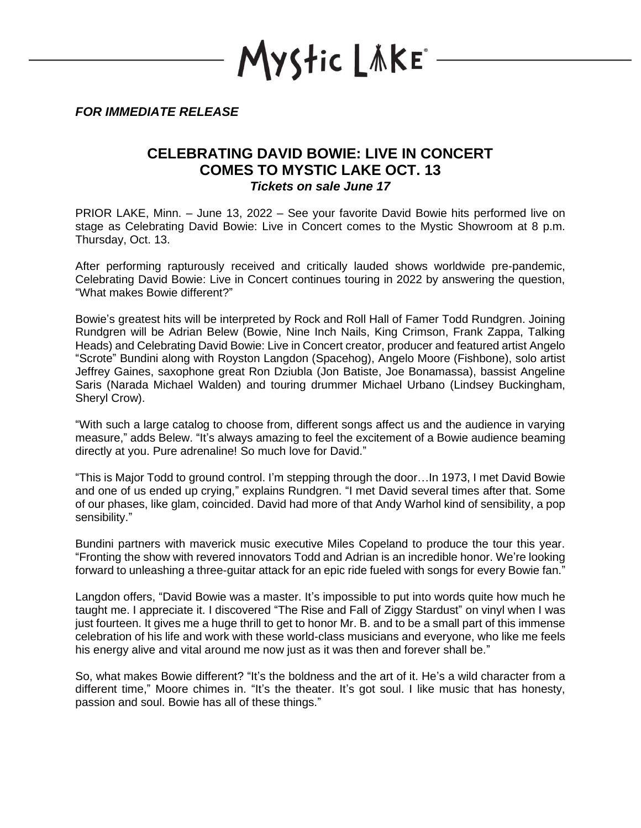YStic LÄKE\*

*FOR IMMEDIATE RELEASE*

## **CELEBRATING DAVID BOWIE: LIVE IN CONCERT COMES TO MYSTIC LAKE OCT. 13** *Tickets on sale June 17*

PRIOR LAKE, Minn. – June 13, 2022 – See your favorite David Bowie hits performed live on stage as Celebrating David Bowie: Live in Concert comes to the Mystic Showroom at 8 p.m. Thursday, Oct. 13.

After performing rapturously received and critically lauded shows worldwide pre-pandemic, Celebrating David Bowie: Live in Concert continues touring in 2022 by answering the question, "What makes Bowie different?"

Bowie's greatest hits will be interpreted by Rock and Roll Hall of Famer Todd Rundgren. Joining Rundgren will be Adrian Belew (Bowie, Nine Inch Nails, King Crimson, Frank Zappa, Talking Heads) and Celebrating David Bowie: Live in Concert creator, producer and featured artist Angelo "Scrote" Bundini along with Royston Langdon (Spacehog), Angelo Moore (Fishbone), solo artist Jeffrey Gaines, saxophone great Ron Dziubla (Jon Batiste, Joe Bonamassa), bassist Angeline Saris (Narada Michael Walden) and touring drummer Michael Urbano (Lindsey Buckingham, Sheryl Crow).

"With such a large catalog to choose from, different songs affect us and the audience in varying measure," adds Belew. "It's always amazing to feel the excitement of a Bowie audience beaming directly at you. Pure adrenaline! So much love for David."

"This is Major Todd to ground control. I'm stepping through the door…In 1973, I met David Bowie and one of us ended up crying," explains Rundgren. "I met David several times after that. Some of our phases, like glam, coincided. David had more of that Andy Warhol kind of sensibility, a pop sensibility."

Bundini partners with maverick music executive Miles Copeland to produce the tour this year. "Fronting the show with revered innovators Todd and Adrian is an incredible honor. We're looking forward to unleashing a three-guitar attack for an epic ride fueled with songs for every Bowie fan."

Langdon offers, "David Bowie was a master. It's impossible to put into words quite how much he taught me. I appreciate it. I discovered "The Rise and Fall of Ziggy Stardust" on vinyl when I was just fourteen. It gives me a huge thrill to get to honor Mr. B. and to be a small part of this immense celebration of his life and work with these world-class musicians and everyone, who like me feels his energy alive and vital around me now just as it was then and forever shall be."

So, what makes Bowie different? "It's the boldness and the art of it. He's a wild character from a different time," Moore chimes in. "It's the theater. It's got soul. I like music that has honesty, passion and soul. Bowie has all of these things."